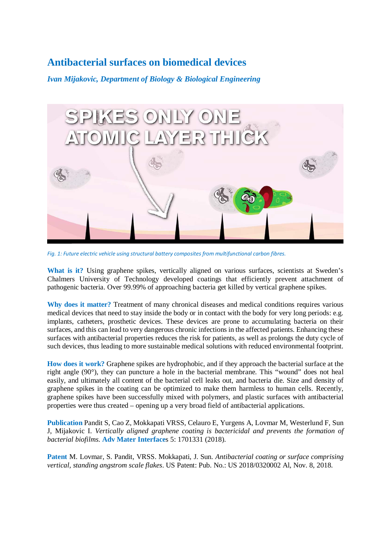## **Antibacterial surfaces on biomedical devices**

*Ivan Mijakovic, Department of Biology & Biological Engineering*



*Fig. 1: Future electric vehicle using structural battery composites from multifunctional carbon fibres.*

What is it? Using graphene spikes, vertically aligned on various surfaces, scientists at Sweden's Chalmers University of Technology developed coatings that efficiently prevent attachment of pathogenic bacteria. Over 99.99% of approaching bacteria get killed by vertical graphene spikes.

**Why does it matter?** Treatment of many chronical diseases and medical conditions requires various medical devices that need to stay inside the body or in contact with the body for very long periods: e.g. implants, catheters, prosthetic devices. These devices are prone to accumulating bacteria on their surfaces, and this can lead to very dangerous chronic infections in the affected patients. Enhancing these surfaces with antibacterial properties reduces the risk for patients, as well as prolongs the duty cycle of such devices, thus leading to more sustainable medical solutions with reduced environmental footprint.

**How does it work?** Graphene spikes are hydrophobic, and if they approach the bacterial surface at the right angle (90°), they can puncture a hole in the bacterial membrane. This "wound" does not heal easily, and ultimately all content of the bacterial cell leaks out, and bacteria die. Size and density of graphene spikes in the coating can be optimized to make them harmless to human cells. Recently, graphene spikes have been successfully mixed with polymers, and plastic surfaces with antibacterial properties were thus created – opening up a very broad field of antibacterial applications.

**Publication** Pandit S, Cao Z, Mokkapati VRSS, Celauro E, Yurgens A, Lovmar M, Westerlund F, Sun J, Mijakovic I. *Vertically aligned graphene coating is bactericidal and prevents the formation of bacterial biofilms*. **Adv Mater Interface**s 5: 1701331 (2018).

**Patent** M. Lovmar, S. Pandit, VRSS. Mokkapati, J. Sun. *Antibacterial coating or surface comprising vertical, standing angstrom scale flakes*. US Patent: Pub. No.: US 2018/0320002 Al, Nov. 8, 2018.